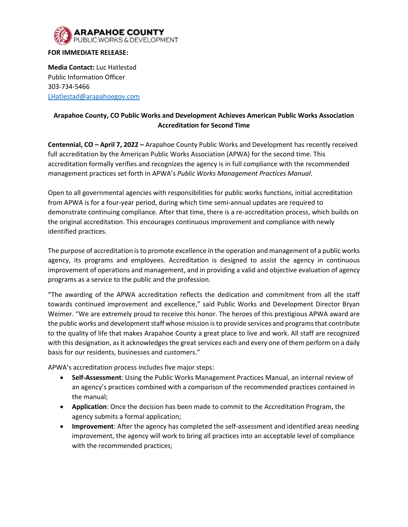

## **FOR IMMEDIATE RELEASE:**

**Media Contact:** Luc Hatlestad Public Information Officer 303-734-5466 [LHatlestad@arapahoegov.com](mailto:LHatlestad@arapahoegov.com)

## **Arapahoe County, CO Public Works and Development Achieves American Public Works Association Accreditation for Second Time**

**Centennial, CO – April 7, 2022 –** Arapahoe County Public Works and Development has recently received full accreditation by the American Public Works Association (APWA) for the second time. This accreditation formally verifies and recognizes the agency is in full compliance with the recommended management practices set forth in APWA's *Public Works Management Practices Manual*.

Open to all governmental agencies with responsibilities for public works functions, initial accreditation from APWA is for a four-year period, during which time semi-annual updates are required to demonstrate continuing compliance. After that time, there is a re-accreditation process, which builds on the original accreditation. This encourages continuous improvement and compliance with newly identified practices.

The purpose of accreditation is to promote excellence in the operation and management of a public works agency, its programs and employees. Accreditation is designed to assist the agency in continuous improvement of operations and management, and in providing a valid and objective evaluation of agency programs as a service to the public and the profession.

"The awarding of the APWA accreditation reflects the dedication and commitment from all the staff towards continued improvement and excellence," said Public Works and Development Director Bryan Weimer. "We are extremely proud to receive this honor. The heroes of this prestigious APWA award are the public works and development staff whose mission is to provide services and programs that contribute to the quality of life that makes Arapahoe County a great place to live and work. All staff are recognized with this designation, as it acknowledges the great services each and every one of them perform on a daily basis for our residents, businesses and customers."

APWA's accreditation process includes five major steps:

- **Self-Assessment**: Using the Public Works Management Practices Manual, an internal review of an agency's practices combined with a comparison of the recommended practices contained in the manual;
- **Application**: Once the decision has been made to commit to the Accreditation Program, the agency submits a formal application;
- **Improvement**: After the agency has completed the self-assessment and identified areas needing improvement, the agency will work to bring all practices into an acceptable level of compliance with the recommended practices;